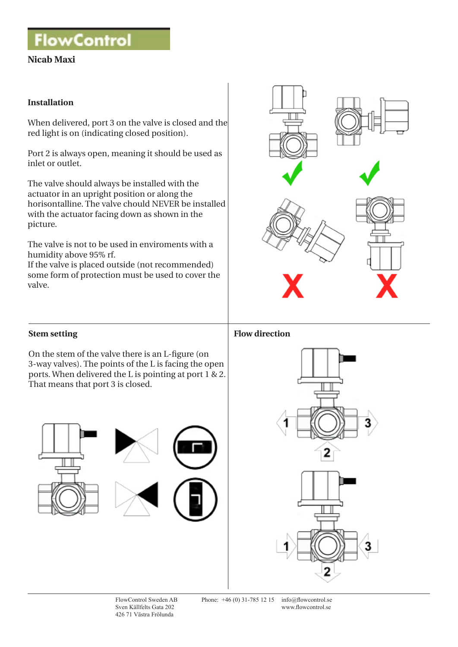**FlowControl** 

# **Nicab Maxi**

#### **Installation**

When delivered, port 3 on the valve is closed and the red light is on (indicating closed position).

Port 2 is always open, meaning it should be used as inlet or outlet.

The valve should always be installed with the actuator in an upright position or along the horisontalline. The valve chould NEVER be installed with the actuator facing down as shown in the picture.

The valve is not to be used in enviroments with a humidity above 95% rf.

If the valve is placed outside (not recommended) some form of protection must be used to cover the valve.



## **Stem setting**

On the stem of the valve there is an L-figure (on 3-way valves). The points of the L is facing the open ports. When delivered the L is pointing at port 1 & 2. That means that port 3 is closed.